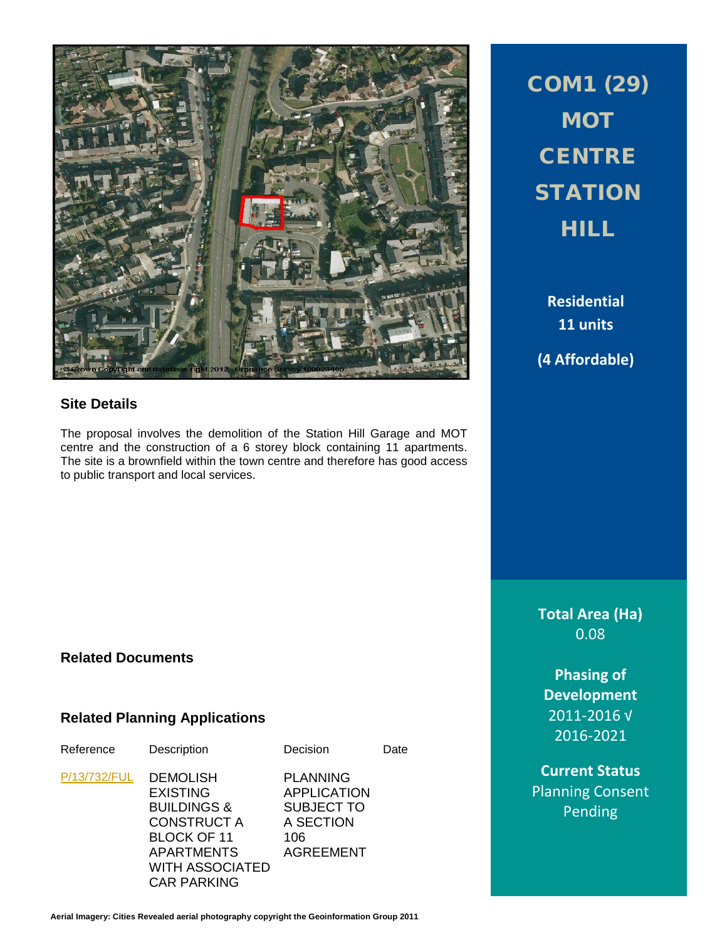

#### **Site Details**

The proposal involves the demolition of the Station Hill Garage and MOT centre and the construction of a 6 storey block containing 11 apartments. The site is a brownfield within the town centre and therefore has good access to public transport and local services.

COM1 (29) MOT **CENTRE STATION** HILL

**Residential 11 units (4 Affordable)**

**Total Area (Ha)** 0.08

**Phasing of Development** 2011-2016 √ 2016-2021

**Current Status** Planning Consent Pending

#### **Related Documents**

#### **Related Planning Applications**

escription Decision Date

[P/13/732/FUL](http://planpor.bridgend.gov.uk/OcellaWeb/planningDetails?reference=P/13/732/FUL&from=planningSearch) DEMOLISH EXISTING BUILDINGS & CONSTRUCT A BLOCK OF 11 APARTMENTS WITH ASSOCIATED CAR PARKING

PLANNING APPLICATION SUBJECT TO A SECTION 106 AGREEMENT